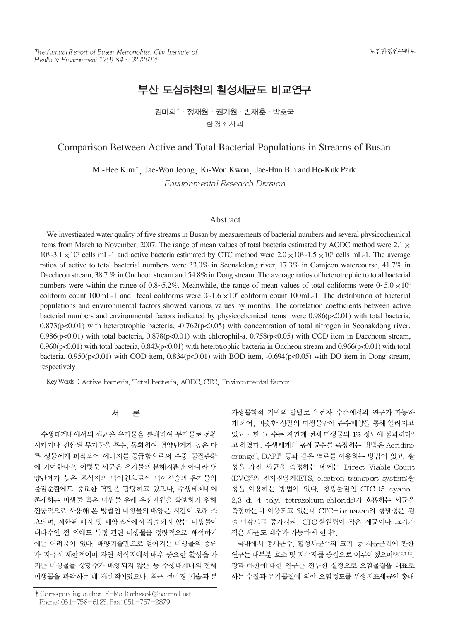# 부산 도심하천의 활성세규도 비교연구

김미희<sup>↑</sup> 정재원 · 권기원 · 빈재후 · 박호국 환경조사과

# Comparison Between Active and Total Bacterial Populations in Streams of Busan

Mi-Hee Kim<sup>†</sup>, Jae-Won Jeong, Ki-Won Kwon, Jae-Hun Bin and Ho-Kuk Park

Environmental Research Division

### Abstract

We investigated water quality of five streams in Busan by measurements of bacterial numbers and several physicochemical items from March to November, 2007. The range of mean values of total bacteria estimated by AODC method were  $2.1 \times$  $10^4$   $\sim$  3.1  $\times$  10<sup>7</sup> cells mL-1 and active bacteria estimated by CTC method were  $2.0 \times 10^2$   $\sim$  1.5  $\times$  10<sup>7</sup> cells mL-1. The average ratios of active to total bacterial numbers were 33.0% in Seonakdong river, 17.3% in Gamjeon watercourse, 41.7% in Daecheon stream, 38.7 % in Oncheon stream and 54.8% in Dong stream. The average ratios of heterotrophic to total bacterial numbers were within the range of  $0.8 \times 5.2\%$ . Meanwhile, the range of mean values of total coliforms were  $0 \times 5.0 \times 10^6$ coliform count 100mL-1 and fecal coliforms were  $0 \sim 1.6 \times 10^6$  coliform count 100mL-1. The distribution of bacterial populations and environmental factors showed various values by months. The correlation coefficients between active bacterial numbers and environmental factors indicated by physicochemical items were 0.986(p<0.01) with total bacteria,  $0.873(p<0.01)$  with heterotrophic bacteria,  $-0.762(p<0.05)$  with concentration of total nitrogen in Seonakdong river, 0.986(p<0.01) with total bacteria, 0.878(p<0.01) with chlorophil-a, 0.758(p<0.05) with COD item in Daecheon stream,  $0.960(p<0.01)$  with total bacteria,  $0.843(p<0.01)$  with heterotrophic bacteria in Oncheon stream and  $0.966(p<0.01)$  with total bacteria, 0.950(p<0.01) with COD item, 0.834(p<0.01) with BOD item, -0.694(p<0.05) with DO item in Dong stream, respectively

Key Words: Active bacteria, Total bacteria, AODC, CTC, Environmental factor

#### 론 서

수생태계내에서의 세균은 유기물을 분해하여 무기물로 전환 시키거나 전환된 무기물을 흡수, 동화하여 영양단계가 높은 다 른 생물에게 피식되어 에너지를 공급함으로써 수중 물질순환 에 기여한다<sup>29</sup>. 이렇듯 세균은 유기물의 분해자뿐만 아니라 영 양단계가 높은 포식자의 먹이원으로서 먹이사슬과 유기물의 물질순환에도 중요한 역할을 담당하고 있으나, 수생태계내에 존재하는 미생물 혹은 미생물 유래 유전자원을 확보하기 위해 전통적으로 사용해 온 방법인 미생물의 배양은 시간이 오래 소 요되며, 제한된 배지 및 배양조건에서 검출되지 않는 미생물이 대다수인 점 외에도 특정 관련 미생물을 정량적으로 해석하기 에는 어려움이 있다. 배양기술만으로 얻어지는 미생물의 종류 가 지극히 제한적이며 자연 서식지에서 매우 중요한 활성을 가 지는 미생물들 상당수가 배양되지 않는 등 수생태계내의 전체 미생물을 파악하는 데 제한적이었으나, 최근 현미경 기술과 분

† Corresponding author. E-Mail: mheeok@hanmail.net Phone: 051-758-6123, Fax: 051-757-2879

자생물학적 기법의 발달로 유전자 수준에서의 연구가 가능하 게 되어, 비슷한 성질의 미생물만이 순수배양을 통해 알려지고 있고 또한 그 수는 자연계 전체 미생물의 1% 정도에 불과하다<sup>3</sup> 고 하였다. 수생태계의 총세균수를 측정하는 방법은 Acridine orange<sup>4)</sup>, DAPI<sup>®</sup> 등과 같은 염료를 이용하는 방법이 있고, 활 성을 가진 세균을 측정하는 데에는 Direct Viable Count (DVC)<sup>6)</sup>와 전자전달계(ETS, electron transport system)활 성을 이용하는 방법이 있다. 형광물질인 CTC (5-cyano-2.3-di-4-tolyl-tetrazolium chloride)가 호흡하는 세균을 측정하는데 이용되고 있는데 CTC-formazan의 형광성은 검 출 민감도를 증가시켜, CTC 환원력이 작은 세균이나 크기가 작은 세균도 계수가 가능하게 한다".

국내에서 총세균수, 활성세균수의 크기 등 세균군집에 관한 연구는 대부분 호소 및 저수지를 중심으로 이루어졌으며 8,9.10.1.12, 강과 하천에 대한 연구는 전무한 실정으로 오염물질을 대표로 하는 수질과 유기물질에 의한 오염정도를 위생지표세균인 총대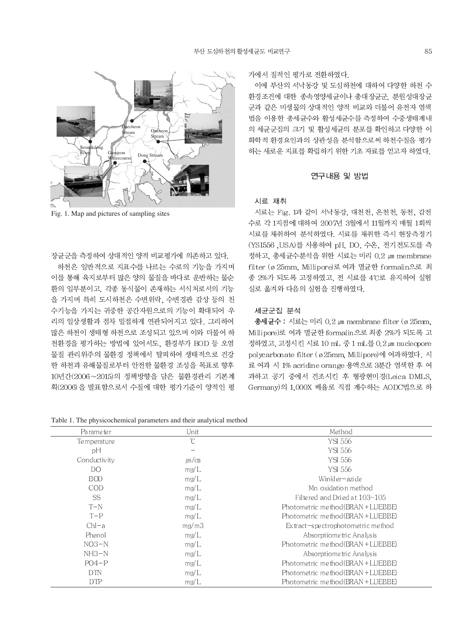

Fig. 1. Map and pictures of sampling sites

장균군을 측정하여 상대적인 양적 비교평가에 의존하고 있다.

하천은 일반적으로 지표수를 나르는 수로의 기능을 가지며 이를 통해 육지로부터 많은 양의 물질을 바다로 운반하는 물순 환의 일부분이고. 각종 동식물이 존재하는 서식처로서의 기능 을 가지며 특히 도시하천은 수변위락, 수변경관 감상 등의 친 수기능을 가지는 귀중한 공간자원으로의 기능이 확대되어 우 리의 일상생활과 점차 밀접하게 연관되어지고 있다. 그리하여 많은 하천이 생태형 하천으로 조성되고 있으며 이와 더불어 하 천환경을 평가하는 방법에 있어서도, 환경부가 BOD 등 오염 물질 관리위주의 물환경 정책에서 탈피하여 생태적으로 건강 한 하천과 유해물질로부터 안전한 물환경 조성을 목표로 향후 10년간(2006~2015)의 정책방향을 담은 물환경관리 기본계 획(2006)을 발표함으로서 수질에 대한 평가기준이 양적인 평

가에서 질적인 평가로 전환하였다.

이에 부산의 서낙동강 및 도심하천에 대하여 다양한 하천 수 환경조건에 대한 종속영양세균이나 총대장균군, 분원성대장균 군과 같은 미생물의 상대적인 양적 비교와 더불어 유전자 염색 법을 이용한 총세균수와 활성세균수를 측정하여 수중생태계내 의 세균군집의 크기 및 활성세균의 분포를 확인하고 다양한 이 화학적 환경요인과의 상관성을 분석함으로써 하천수질을 평가 하는 새로운 지표를 확립하기 위한 기초 자료를 얻고자 하였다.

## 연구내용 및 방법

#### 시료 채취

시료는 Fig. 1과 같이 서낙동강, 대천천, 온천천, 동천, 감전 수로 각 1지점에 대하여 2007년 3월에서 11월까지 매월 1회씩 시료를 채취하여 분석하였다. 시료를 채취한 즉시 현장측정기 (YSI556, USA)를 사용하여 pH, DO, 수온, 전기전도도를 측 정하고, 총세균수분석을 위한 시료는 미리 0.2 μm membrane filter (ø 25mm, Millipore)로 여과 멸균한 formalin으로 최 종 2%가 되도록 고정하였고, 전 시료를 4℃로 유지하여 실험 실로 옮겨와 다음의 실험을 진행하였다.

## 세균군집 분석

총세균수 : 시료는 미리 0.2 μm membrane filter (ø 25mm, Millipore)로 여과 멸균한 formalin으로 최종 2%가 되도록 고 정하였고, 고정시킨 시료 10 mL 중 1 mL를 0.2 μm nucleopore polycarbonate filter (ø25mm, Millipore)에 여과하였다. 시 료 여과 시 1% acridine orange 용액으로 3분간 염색한 후 여 과하고 공기 중에서 건조시킨 후 형광현미경(Leica DMLS, Germany)의 1,000X 배율로 직접 계수하는 AODC법으로 하

Table 1. The physicochemical parameters and their analytical method

| Parameter       | Unit          | Method                                    |
|-----------------|---------------|-------------------------------------------|
| Temperature     | $\mathcal{C}$ | YSI 556                                   |
| pH              |               | YSI 556                                   |
| Conductivity    | $\mu$ s/cm    | YSI 556                                   |
| DO              | mg/L          | YSI 556                                   |
| <b>BOD</b>      | mg/L          | Winkler-azi de                            |
| <b>COD</b>      | mg/L          | Mn oxidation method                       |
| SS <sub>.</sub> | mg/L          | Filtered and Dried at $103 - 105$         |
| $T-N$           | mg/L          | Photometric method(BRAN + LUEBBE)         |
| $T-P$           | mg/L          | Photometric method(BRAN + LUEBBE)         |
| $ChI-a$         | mg/m3         | $Ext$ act $-s$ pe ctrophotometric me thod |
| Phenol          | mg/L          | Absorptiometric Analysis                  |
| $NO3-N$         | mg/L          | Photometric method(BRAN + LUEBBE)         |
| $NH3-N$         | mg/L          | Absorptiometric Analysis                  |
| $PO4-P$         | mg/L          | Photometric method(BRAN + LUEBBE)         |
| <b>DTN</b>      | mg/L          | Photometric method(BRAN + LUEBBE)         |
| DTP             | mg/L          | Photometric method(BRAN + LUEBBE)         |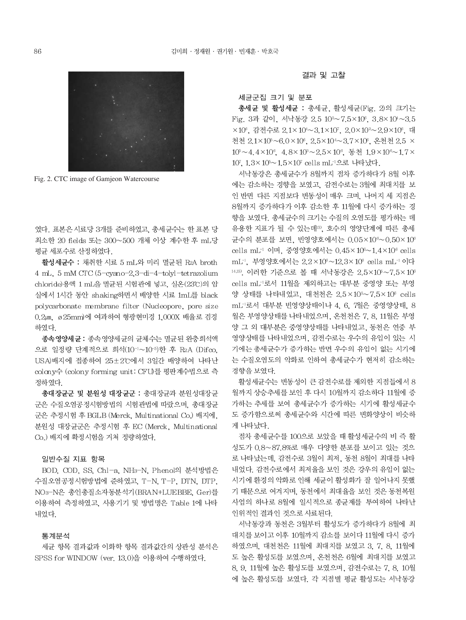

Fig. 2. CTC image of Gamjeon Watercourse

였다. 표본은 시료당 3개를 준비하였고, 총세규수는 한 표본 당 최소한 20 fields 또는 300~500 개체 이상 계수한 후 mL당 평균 세포수로 산정하였다.

활성세균수 : 채취한 시료 5 mL와 미리 멸균된 R2A broth 4 mL, 5 mM CTC (5-cyano-2,3-di-4-tolyl-tetrazolium chloride)용액 1 mL을 멸균된 시험관에 넣고, 실온(23°C)의 암 실에서 1시간 동안 shaking하면서 배양한 시료 1mL를 black polycarbonate membrane filter (Nucleopore, pore size 0.2 m, ø 25mm)에 여과하여 형광현미경 1,000X 배율로 검경 하였다.

종속영양세균 : 종속영양세균의 균체수는 멸균된 완충희석액 으로 일정량 단계적으로 희석(10<sup>-1</sup>~10<sup>-5</sup>)한 후 R2A (Difco. USA)배지에 접종하여 25±2℃에서 3일간 배양하여 나타난 colony수 (colony forming unit: CFU)를 평판계수법으로 측 정하였다.

총대장균군 및 분원성 대장균군 : 총대장균과 분원성대장균 군은 수질오염공정시험방법의 시험관법에 따랐으며, 총대장균 군은 추정시험 후 BGLB (Merck, Multinational Co.) 배지에, 분원성 대장균군은 추정시험 후 EC (Merck, Multinational Co.) 배지에 확정시험을 거쳐 정량하였다.

#### 일반수질 지표 항목

BOD, COD, SS, Chl-a, NH3-N, Phenol의 분석방법은 수질오염공정시험방법에 준하였고, T-N, T-P, DTN, DTP, NO3-N은 총인총질소자동분석기(BRAN+LUEBBE, Ger)를 이용하여 측정하였고, 사용기기 및 방법명은 Table 1에 나타 내었다.

### 통계분석

세균 항목 결과값과 이화학 항목 결과값간의 상관성 분석은 SPSS for WINDOW (ver. 13.0)을 이용하여 수행하였다.

결과 및 고찰

#### 세균군집 크기 및 분포

총세균 및 활성세균 : 총세균, 활성세균(Fig. 2)의 크기는 Fig. 3과 같이, 서낙동강 2.5 105~7.5×106, 3.8×104~3.5 ×10°, 감전수로 2.1×10<sup>4</sup>~3.1×10<sup>7</sup>, 2.0×10<sup>2</sup>~2.9×10°, 대 천천 2.1×105~6.0×106. 2.5×104~3.7×106. 온천천 2.5 × 10°~4.4×10°, 4.8×10°~2.5×10°, 동천 1.9×10°~1.7× 107, 1.3×10<sup>5</sup>~1.5×107 cells mL<sup>-1</sup>으로 나타났다.

서낙동강은 총세균수가 8월까지 점차 증가하다가 8월 이후 에는 감소하는 경향을 보였고, 감전수로는 3월에 최대치를 보 인 반면 다른 지점보다 변동성이 매우 크며, 나머지 세 지점은 8월까지 증가하다가 이후 감소한 후 11월에 다시 증가하는 경 향을 보였다. 총세균수의 크기는 수질의 오염도를 평가하는 데 유용한 지표가 될 수 있는데3). 호수의 영양단계에 따른 총세 균수의 분포를 보면, 빈영양호에서는  $0.05 \times 10^6 \sim 0.50 \times 10^6$ cells mL<sup>-1</sup> 이며, 중영양호에서는 0.45×10<sup>6</sup>~1.4×10<sup>6</sup> cells mL<sup>-1</sup>, 부영양호에서는 2.2×10<sup>6</sup>~12.3×10<sup>6</sup> cells mL<sup>-1</sup> 이다 14,15) 이러한 기준으로 볼 때 서낙동강은 2.5×105~7.5×106 cells mL<sup>-1</sup>로서 11월을 제외하고는 대부분 중영양 또는 부영 양 상태를 나타내었고, 대천천은 2.5×105~7.5×106 cells mL-1로서 대부분 빈영양상태이나 4, 6, 7월은 중영양상태, 8 월은 부영양상태를 나타내었으며, 온천천은 7, 8, 11월은 부영 양 그 외 대부분은 중영양상태를 나타내었고, 동천은 연중 부 영양상태를 나타내었으며, 감전수로는 우수의 유입이 있는 시 기에는 총세균수가 증가하는 반면 우수의 유입이 없는 시기에 는 수질오염도의 악화로 인하여 총세균수가 현저히 감소하는 경향을 보였다.

활성세균수는 변동성이 큰 감전수로를 제외한 지점들에서 8 월까지 상승추세를 보인 후 다시 10월까지 감소하다 11월에 증 가하는 추세를 보여 총세균수가 증가하는 시기에 활성세균수 도 증가함으로써 총세균수와 시간에 따른 변화양상이 비슷하 게 나타났다.

점차 총세균수를 100으로 보았을 때 활성세균수의 비 즉 활 성도가 0.8~87.8%로 매우 다양한 분포를 보이고 있는 것으 로 나타났는데, 감전수로 3월이 최저, 동천 8월이 최대를 나타 내었다. 감전수로에서 최저율을 보인 것은 강우의 유입이 없는 시기에 환경의 악화로 인해 세균이 활성화가 잘 일어나지 못했 기 때문으로 여겨지며, 동천에서 최대율을 보인 것은 동천복원 사업의 하나로 8월에 일시적으로 종균제를 투여하여 나타난 인위적인 결과인 것으로 사료된다.

서낙동강과 동천은 3월부터 활성도가 증가하다가 8월에 최 대치를 보이고 이후 10월까지 감소를 보이다 11월에 다시 증가 하였으며, 대천천은 11월에 최대치를 보였고 3, 7, 8, 11월에 도 높은 활성도를 보였으며, 온천천은 6월에 최대치를 보였고 8, 9, 11월에 높은 활성도를 보였으며, 감전수로는 7, 8, 10월 에 높은 활성도를 보였다. 각 지점별 평균 활성도는 서낙동강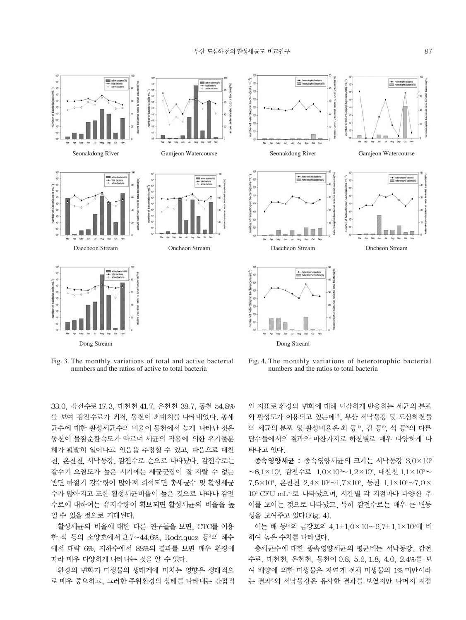



Fig. 3. The monthly variations of total and active bacterial numbers and the ratios of active to total bacteria

Fig. 4. The monthly variations of heterotrophic bacterial numbers and the ratios to total bacteria

33.0, 감전수로 17.3, 대천천 41.7, 온천천 38.7, 동천 54.8% 를 보여 감전수로가 최저, 동천이 최대치를 나타내었다. 총세 균수에 대한 활성세균수의 비율이 동천에서 높게 나타난 것은 동천이 물질순환속도가 빠르며 세균의 작용에 의한 유기물분 해가 활발히 일어나고 있음을 추정할 수 있고, 다음으로 대천 천, 온천천, 서낙동강, 감전수로 순으로 나타났다. 감전수로는 갈수기 오염도가 높은 시기에는 세균군집이 잘 자랄 수 없는 반면 하절기 강수량이 많아져 희석되면 총세균수 및 활성세균 수가 많아지고 또한 활성세균비율이 높은 것으로 나타나 감전 수로에 대하여는 유지수량이 확보되면 활성세균의 비율을 높 일 수 있을 것으로 기대된다.

활성세균의 비율에 대한 다른 연구들을 보면, CTC를 이용 한 석 등의 소양호에서 3.7~44.6%, Rodriquez 등 의 해수 에서 대략 6%, 지하수에서 88%의 결과를 보면 매우 환경에 따라 매우 다양하게 나타나는 것을 알 수 있다.

환경의 변화가 미생물의 생태계에 미치는 영향은 생태적으 로 매우 중요하고, 그러한 주위환경의 상태를 나타내는 간접적 인 지표로 환경의 변화에 대해 민감하게 반응하는 세균의 분포 와 활성도가 이용되고 있는데 <sup>16</sup>, 부산 서낙동강 및 도심하천들 의 세균의 분포 및 활성비율은 최 등10, 김 등8, 석 등0)의 다른 담수들에서의 결과와 마찬가지로 하천별로 매우 다양하게 나 타나고 있다.

종속영양세균 : 종속영양세균의 크기는 서낙동강 3.0×103 ~6.1×104, 감전수로 1.0×10°~1.2×106, 대천천 1.1×10°~ 7.5×104, 온천천 2.4×10<sup>3</sup>~1.7×105, 동천 1.1×104~7.0× 105 CFU mL-1로 나타났으며, 시간별 각 지점마다 다양한 추 이를 보이는 것으로 나타났고, 특히 감전수로는 매우 큰 변동 성을 보여주고 있다(Fig. 4).

이는 배 등 의 금강호의 4.1±1.0×10~6.7±1.1×103에 비 하여 높은 수치를 나타냈다.

총세균수에 대한 종속영양세균의 평균비는 서낙동강, 감전 수로, 대천천, 온천천, 동천이 0.8, 5.2, 1.8, 4.0, 2.4%를 보 여 배양에 의한 미생물은 자연계 전체 미생물의 1% 미만이라 는 결과<sup>39</sup>와 서낙동강은 유사한 결과를 보였지만 나머지 지점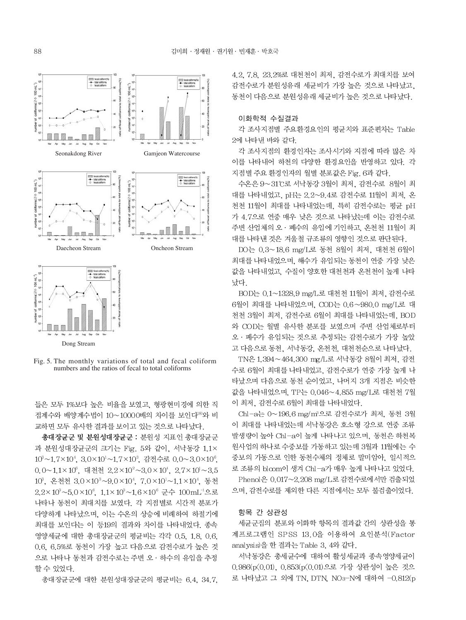

Dong Stream

Fig. 5. The monthly variations of total and fecal coliform numbers and the ratios of fecal to total coliforms

들은 모두 1%보다 높은 비율을 보였고, 형광현미경에 의한 직 접계수와 배양계수법이 10~10000배의 차이를 보인다<sup>89</sup>와 비 교하면 모두 유사한 결과를 보이고 있는 것으로 나타났다.

총대장균군 및 분원성대장균군 : 분원성 지표인 총대장균군 과 분원성대장균군의 크기는 Fig. 5와 같이. 서낙동강 1.1× 10<sup>3</sup>~1.7×10<sup>4</sup>, 3.0×10<sup>1</sup>~1.7×10<sup>3</sup>, 감전수로 0.0~3.0×10<sup>6</sup>, 0.0~1.1×10°, 대천천 2.2×10<sup>2</sup>~3.0×10<sup>4</sup>, 2.7×10<sup>1</sup>~3.5 10<sup>3</sup>, 온천천 3.0×10<sup>3</sup>~9.0×10<sup>4</sup>, 7.0×10<sup>1</sup>~1.1×10<sup>4</sup>, 동천  $2.2 \times 10^3 \sim 5.0 \times 10^6$ ,  $1.1 \times 10^3 \sim 1.6 \times 10^6$  군수  $100 \text{ mL}^{-1}$ 으로 나타나 동천이 최대치를 보였다. 각 지점별로 시간적 분포가 다양하게 나타났으며, 이는 수온의 상승에 비례하여 하절기에 최대를 보인다는 이 등19의 결과와 차이를 나타내었다. 종속 영양세균에 대한 총대장균군의 평균비는 각각 0.5, 1.8, 0.6, 0.6, 6.5%로 동천이 가장 높고 다음으로 감전수로가 높은 것 으로 나타나 동천과 감전수로는 주변 오 · 하수의 유입을 추정 할 수 있었다.

총대장균군에 대한 분원성대장균군의 평균비는 6.4, 34.7,

4.2, 7.8, 23.2%로 대천천이 최저, 감전수로가 최대치를 보여 감전수로가 분원성유래 세균비가 가장 높은 것으로 나타났고, 동천이 다음으로 분원성유래 세균비가 높은 것으로 나타났다.

#### 이화학적 수질결과

각 조사지점별 주요환경요인의 평균치와 표준편차는 Table 2에 나타내 바와 같다.

각 조사지점의 환경인자는 조사시기와 지점에 따라 많은 차 이를 나타내어 하천의 다양한 환경요인을 반영하고 있다. 각 지점별 주요 환경인자의 월별 분포값은 Fig. 6과 같다.

수온은 9~31℃로 서낙동강 3월이 최저, 감전수로 8월이 최 대를 나타내었고, pH는 2.2~9.4로 감전수로 11월이 최저. 온 천천 11월이 최대를 나타내었는데, 특히 감전수로는 평균 pH 가 4.7으로 연중 매우 낮은 것으로 나타났는데 이는 감전수로 주변 산업체의 오 · 폐수의 유입에 기인하고, 온천천 11월이 최 대를 나타낸 것은 겨울철 규조류의 영향인 것으로 판단된다.

DO는 0.3~18.6 mg/L로 동천 8월이 최저, 대천천 6월이 최대를 나타내었으며, 해수가 유입되는 동천이 연중 가장 낮은 값을 나타내었고, 수질이 양호한 대천천과 온천천이 높게 나타 났다.

BOD는 0.1~1328.9 mg/L로 대천천 11월이 최저. 감전수로 6월이 최대를 나타내었으며, COD는 0.6~980.0 mg/L로 대 천천 3월이 최저, 감전수로 6월이 최대를 나타내었는데, BOD 와 COD는 월별 유사한 분포를 보였으며 주변 산업체로부터 오 · 폐수가 유입되는 것으로 추정되는 감전수로가 가장 높았 고 다음으로 동천, 서낙동강, 온천천, 대천천순으로 나타났다.

TN은 1.394~464.300 mg/L로 서낙동강 8월이 최저. 감전 수로 6월이 최대를 나타내었고, 감전수로가 연중 가장 높게 나 타났으며 다음으로 동천 순이었고, 나머지 3개 지점은 비슷한 값을 나타내었으며, TP는 0.046~4.855 mg/L로 대천천 7월 이 최저, 감전수로 6월이 최대를 나타내었다.

Chl-a는 0~196.6 mg/m<sup>3</sup>으로 감전수로가 최저, 동천 3월 이 최대를 나타내었는데 서낙동강은 호소형 강으로 연중 조류 발생량이 높아 Chl-a이 높게 나타나고 있으며, 동천은 하천복 원사업의 하나로 수중보를 가동하고 있는데 3월과 11월에는 수 중보의 가동으로 인한 동천수체의 정체로 말미암아, 일시적으 로 조류의 bloom이 생겨 Chl-a가 매우 높게 나타나고 있었다. Phenol은 0.017~2.208 mg/L로 감전수로에서만 검출되었

으며, 감전수로를 제외한 다른 지점에서는 모두 불검출이었다.

#### 항목 간 상관성

세균군집의 분포와 이화학 항목의 결과값 간의 상관성을 통 계프로그램인 SPSS 13.0을 이용하여 요인분석(Factor analysis)을 한 결과는 Table 3, 4와 같다.

서낙동강은 총세균수에 대하여 활성세균과 종속영양세균이 0.986(p(0.01), 0.853(p(0.01)으로 가장 상관성이 높은 것으 로 나타났고 그 외에 TN, DTN, NO3-N에 대하여 -0.812(p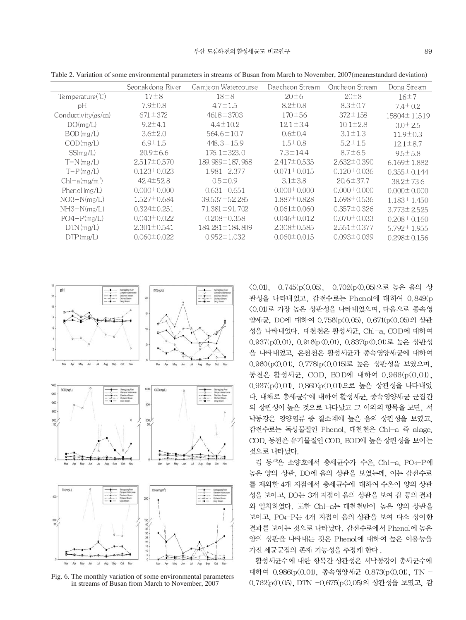|                            | Seonak dong River | Gamje on Watercourse | Dae cheon Stream  | Onche on Stream   | Dong Stream       |
|----------------------------|-------------------|----------------------|-------------------|-------------------|-------------------|
|                            |                   |                      |                   |                   |                   |
| Temperature(C)             | $17\pm8$          | $18\pm8$             | $20 \pm 6$        | $20\pm8$          | 16±7              |
| рH                         | $7.9 \pm 0.8$     | $4.7 \pm 1.5$        | $8.2 \pm 0.8$     | $8.3 \pm 0.7$     | $7.4 \pm 0.2$     |
| Conductivity $(\mu s/cm)$  | $671 \pm 372$     | $4618 \pm 3703$      | $170 \pm 56$      | $372 \pm 158$     | 15804±11519       |
| DO(mg/L)                   | $9.2 \pm 4.1$     | $4.4 \pm 10.2$       | $12.1 \pm 3.4$    | $10.1 \pm 2.8$    | $3.0 \pm 2.5$     |
| $BOD$ (mg/L)               | $3.6 \pm 2.0$     | $564.6 \pm 10.7$     | $0.6 \pm 0.4$     | $3.1 \pm 1.3$     | $11.9 \pm 0.3$    |
| COD(mg/L)                  | $6.9 \pm 1.5$     | $448.3 \pm 15.9$     | $1.5 \pm 0.8$     | $5.2 \pm 1.5$     | $12.1 \pm 8.7$    |
| SS(mg/L)                   | $20.9 \pm 6.6$    | $176.1 \pm 323.0$    | $7.3 \pm 14.4$    | $8.7 \pm 6.5$     | $9.5 \pm 5.8$     |
| $T-N$ (mg/L)               | $2.517 \pm 0.570$ | 189.989±187.968      | $2.417 \pm 0.535$ | $2.632 \pm 0.390$ | $6.169 \pm 1.882$ |
| $T-P(mg/L)$                | $0.123 \pm 0.023$ | $1.981 \pm 2.377$    | $0.071 \pm 0.015$ | $0.120 \pm 0.036$ | $0.355 \pm 0.144$ |
| $Chl-a(mg/m3)$             | $424\pm528$       | $0.5 \pm 0.9$        | $3.1 \pm 3.8$     | $20.6 \pm 37.7$   | $38.2 \pm 73.6$   |
| Phenol $\text{Im}\alpha/L$ | $0.000 \pm 0.000$ | $0.631 \pm 0.651$    | $0.000 \pm 0.000$ | $0.000 \pm 0.000$ | $0.000 \pm 0.000$ |
| $NO3-N(mg/L)$              | $1.527 \pm 0.684$ | 39.537 ± 52.285      | 1.887±0.828       | $1.698 \pm 0.536$ | $1.183 \pm 1.450$ |
| $NH3-N(mg/L)$              | $0.324 \pm 0.251$ | $71.381 \pm 91.702$  | $0.061 \pm 0.060$ | $0.357 \pm 0.326$ | $3.773 \pm 2.525$ |
| $PO4-P(mg/L)$              | $0.043 \pm 0.022$ | $0.208 \pm 0.358$    | $0.046 \pm 0.012$ | $0.070 \pm 0.033$ | $0.208 \pm 0.160$ |
| $DTN$ (mg/L)               | $2.301 \pm 0.541$ | 184.281 ± 184.809    | $2.308 \pm 0.585$ | $2.551 \pm 0.377$ | $5.792 \pm 1.955$ |
| DTP(mg/L)                  | $0.060 \pm 0.022$ | $0.952 \pm 1.032$    | $0.060 \pm 0.015$ | $0.093 \pm 0.039$ | $0.298 \pm 0.156$ |
|                            |                   |                      |                   |                   |                   |

Table 2. Variation of some environmental parameters in streams of Busan from March to November, 2007(mean±standard deviation)



Fig. 6. The monthly variation of some environmental parameters in streams of Busan from March to November, 2007

<0.01), -0.745(p<0.05), -0.702(p<0.05)으로 높은 음의 상 관성을 나타내었고, 감전수로는 Phenol에 대하여 0.849(p 〈0.01)로 가장 높은 상관성을 나타내었으며, 다음으로 종속영 양세균, DO에 대하여 0.756(p(0.05), 0.671(p(0.05)의 상관 성을 나타내었다. 대천천은 활성세균, Chl-a, COD에 대하여 0.937(p(0.01), 0.916(p (0.01), 0.837(p(0.01)로 높은 상관성 을 나타내었고, 온천천은 활성세균과 종속영양세균에 대하여 0.960(p(0.01), 0.778(p(0.015)로 높은 상관성을 보였으며, 동천은 활성세균, COD, BOD에 대하여 0.966(p<0.01), 0.937(p<0.01), 0.860(p<0.01)으로 높은 상관성을 나타내었 다. 대체로 총세균수에 대하여 활성세균, 종속영양세균 군집간 의 상관성이 높은 것으로 나타났고 그 이외의 항목을 보면, 서 낙동강은 영양염류 중 질소계에 높은 음의 상관성을 보였고, 감전수로는 독성물질인 Phenol. 대천천은 Chl-a 즉 alage. COD, 동천은 유기물질인 COD, BOD에 높은 상관성을 보이는 것으로 나타났다.

김 등20은 소양호에서 총세균수가 수온, Chl-a, PO4-P에 높은 양의 상관, DO에 음의 상관을 보였는데, 이는 감전수로 를 제외한 4개 지점에서 총세균수에 대하여 수온이 양의 상관 성을 보이고, DO는 3개 지점이 음의 상관을 보여 김 등의 결과 와 일치하였다. 또한 Chl-a는 대천천만이 높은 양의 상관을 보이고, PO4-P는 4개 지점이 음의 상관을 보여 다소 상이한 결과를 보이는 것으로 나타났다. 감전수로에서 Phenol에 높은 양의 상관을 나타내는 것은 Phenol에 대하여 높은 이용능을 가진 세균군집의 존재 가능성을 추정케 한다.

활성세균수에 대한 항목간 상관성은 서낙동강이 총세균수에 대하여 0.986(p(0.01), 종속영양세균 0.873(p(0.01), TN -0.762(p<0.05). DTN -0.675(p<0.05)의 상관성을 보였고. 감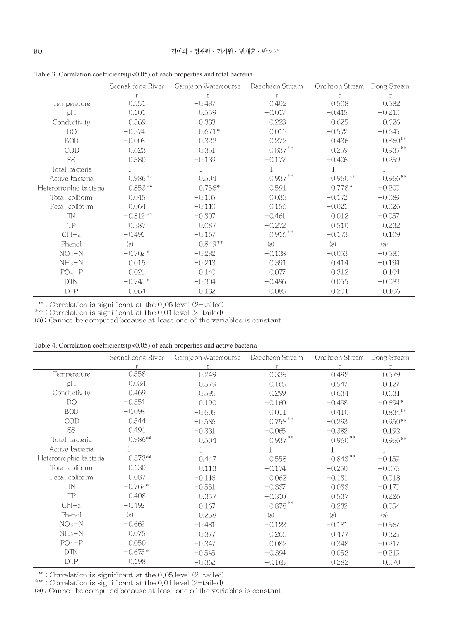|                        | Seonak dong River | Gamje on Watercourse | Dae cheon Stream | Onche on Stream | Dong Stream |
|------------------------|-------------------|----------------------|------------------|-----------------|-------------|
|                        |                   |                      |                  |                 |             |
| Temperature            | 0.551             | $-0.487$             | 0.402            | 0.508           | 0.582       |
| pH                     | 0.101             | 0.559                | $-0.017$         | $-0.415$        | $-0.210$    |
| Conductivity           | 0.569             | $-0.333$             | $-0.223$         | 0.625           | 0.626       |
| DO.                    | $-0.374$          | $0.671*$             | 0.013            | $-0.572$        | $-0.645$    |
| <b>BOD</b>             | $-0.006$          | 0.322                | 0.272            | 0.436           | $0.860**$   |
| COD                    | 0.623             | $-0.351$             | $0.837***$       | $-0.259$        | $0.937**$   |
| <b>SS</b>              | 0.580             | $-0.139$             | $-0.177$         | $-0.406$        | 0.259       |
| Total bacteria         |                   |                      |                  |                 |             |
| Active bacteria        | $0.986**$         | 0.504                | $0.937***$       | $0.960**$       | $0.966***$  |
| Heterotrophic bacteria | $0.853**$         | $0.756*$             | 0.591            | $0.778*$        | $-0.200$    |
| Total coliform         | 0.045             | $-0.105$             | 0.033            | $-0.172$        | $-0.089$    |
| Fecal coliform         | 0.064             | $-0.110$             | 0.156            | $-0.021$        | 0.026       |
| <b>TN</b>              | $-0.812**$        | $-0.307$             | $-0.461$         | 0.012           | $-0.057$    |
| TP                     | 0.387             | 0.087                | $-0.272$         | 0.510           | 0.232       |
| $ChI-a$                | $-0.491$          | $-0.167$             | $0.916***$       | $-0.173$        | 0.109       |
| Phenol                 | (a)               | $0.849**$            | (a)              | (a)             | (a)         |
| $NO3-N$                | $-0.702*$         | $-0.282$             | $-0.138$         | $-0.053$        | $-0.580$    |
| $NH_3-N$               | 0.015             | $-0.213$             | 0.391            | 0.414           | $-0.194$    |
| $PO4-P$                | $-0.021$          | $-0.140$             | $-0.077$         | 0.312           | $-0.104$    |
| <b>DTN</b>             | $-0.745*$         | $-0.304$             | $-0.496$         | 0.055           | $-0.083$    |
| <b>DTP</b>             | 0.064             | $-0.132$             | $-0.085$         | 0.201           | 0.106       |

Table 3. Correlation coefficients  $(p<0.05)$  of each properties and total bacteria

\* : Correlation is significant at the 0.05 level  $(2-\text{tailed})$ <br>\*\* : Correlation is significant at the 0.01 level  $(2-\text{tailed})$ <br>(a) : Cannot be computed because at least one of the variables is constant

|  | Table 4. Correlation coefficients $(p<0.05)$ of each properties and active bacteria |  |  |
|--|-------------------------------------------------------------------------------------|--|--|
|--|-------------------------------------------------------------------------------------|--|--|

|                        | Seonak dong River | Gamje on Watercourse | Dae cheon Stream | Onche on Stream | Dong Stream |
|------------------------|-------------------|----------------------|------------------|-----------------|-------------|
|                        |                   |                      |                  |                 |             |
| Temperature            | 0.558             | 0.249                | 0.339            | 0.492           | 0.579       |
| pH                     | 0.034             | 0.579                | $-0.165$         | $-0.547$        | $-0.127$    |
| Conductivity           | 0.469             | $-0.596$             | $-0.299$         | 0.634           | 0.631       |
| DO.                    | $-0.354$          | 0.190                | $-0.160$         | $-0.498$        | $-0.694*$   |
| <b>BOD</b>             | $-0.098$          | $-0.606$             | 0.011            | 0.410           | $0.834**$   |
| COD                    | 0.544             | $-0.586$             | $0.758***$       | $-0.293$        | $0.950**$   |
| SS                     | 0.491             | $-0.331$             | $-0.065$         | $-0.382$        | 0.192       |
| Total bacteria         | $0.986**$         | 0.504                | $0.937***$       | $0.960**$       | $0.966**$   |
| Active bacteria        |                   | 1                    |                  | 1               |             |
| Heterotrophic bacteria | $0.873**$         | 0.447                | 0.558            | $0.843**$       | $-0.159$    |
| Total coliform         | 0.130             | 0.113                | $-0.174$         | $-0.250$        | $-0.076$    |
| Fecal coliform         | 0.087             | $-0.116$             | 0.062            | $-0.131$        | 0.018       |
| <b>TN</b>              | $-0.762*$         | $-0.551$             | $-0.337$         | 0.033           | $-0.170$    |
| TP                     | 0.408             | 0.357                | $-0.310$         | 0.537           | 0.226       |
| $ChI-a$                | $-0.492$          | $-0.167$             | $0.878***$       | $-0.232$        | 0.054       |
| Phenol                 | (a)               | 0.258                | (a)              | (a)             | (a)         |
| $NO3-N$                | $-0.662$          | $-0.481$             | $-0.122$         | $-0.181$        | $-0.567$    |
| $NH_3-N$               | 0.075             | $-0.377$             | 0.266            | 0.477           | $-0.325$    |
| $PO_4-P$               | 0.050             | $-0.347$             | 0.082            | 0.348           | $-0.217$    |
| <b>DTN</b>             | $-0.675*$         | $-0.545$             | $-0.394$         | 0.052           | $-0.219$    |
| <b>DTP</b>             | 0.198             | $-0.362$             | $-0.165$         | 0.282           | 0.070       |

 $*$ : Correlation is significant at the 0.05 level (2-tailed)<br> $**$ : Correlation is significant at the 0.01 level (2-tailed)<br>(a) : Cannot be computed because at least one of the variables is constant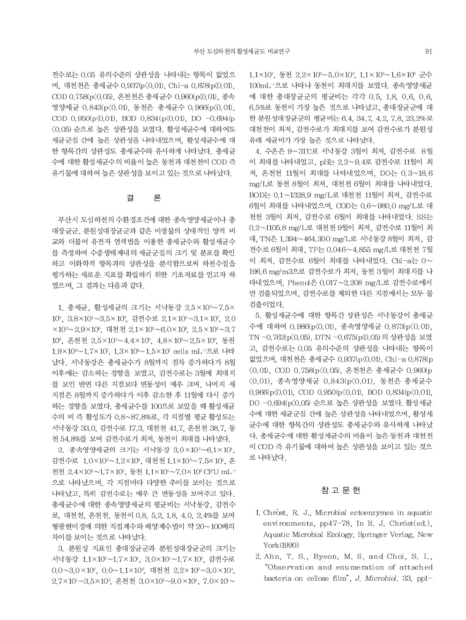전수로는 0.05 유의수준의 상관성을 나타내는 항목이 없었으 며, 대천천은 총세균수 0.937(p<0.01), Chl-a 0.878(p<0.01), COD 0.758(p(0.05), 온천천은 총세균수 0.960(p(0.01), 종속 영양세균 0.843(p<0.01), 동천은 총세균수 0.966(p<0.01), COD 0.950(p $\langle 0.01 \rangle$ , BOD 0.834(p $\langle 0.01 \rangle$ , DO -0.694(p 〈0.05) 순으로 높은 상관성을 보였다. 활성세균수에 대하여도 세균군집 간에 높은 상관성을 나타내었으며, 활성세균수에 대 한 항목간의 상관성도 총세균수와 유사하게 나타났다. 총세균 수에 대한 활성세균수의 비율이 높은 동천과 대천천이 COD 즉 유기물에 대하여 높은 상관성을 보이고 있는 것으로 나타났다.

#### 결 론

부산시 도심하천의 수환경조건에 대한 종속영양세균이나 총 대장균군, 분원성대장균군과 같은 미생물의 상대적인 양적 비 교와 더불어 유전자 염색법을 이용한 총세규수와 활성세규수 를 측정하여 수중생태계내의 세균군집의 크기 및 분포를 확인 하고 이화학적 항목과의 상관성을 분석함으로써 하천수질을 평가하는 새로운 지표를 확립하기 위한 기초자료를 얻고자 하 였으며, 그 결과는 다음과 같다.

1. 총세균, 활성세균의 크기는 서낙동강 2.5×105~7.5× 10°, 3.8×10°~3.5×10°, 감전수로 2.1×10°~3.1×10', 2.0 ×10<sup>2</sup>~2.9×10°, 대천천 2.1×10°~6.0×10°, 2.5×10<sup>4</sup>~3.7 10°, 온천천 2.5×105~4.4×10°, 4.8×103~2.5×10°, 동천 1.9×10<sup>6</sup>~1.7×107, 1.3×10<sup>6</sup>~1.5×107 cells mL<sup>-1</sup>으로 나타 났다. 서낙동강은 총세균수가 8월까지 점차 증가하다가 8월 이후에는 감소하는 경향을 보였고, 감전수로는 3월에 최대치 를 보인 반면 다른 지점보다 변동성이 매우 크며, 나머지 세 지점은 8월까지 증가하다가 이후 감소한 후 11월에 다시 증가 하는 경향을 보였다. 총세균수를 100으로 보았을 때 활성세균 수의 비 즉 활성도가 0.8~87.8%로, 각 지점별 평균 활성도는 서낙동강 33.0, 감전수로 17.3, 대천천 41.7, 온천천 38.7, 동 천 54.8%를 보여 감전수로가 최저, 동천이 최대를 나타냈다.

2. 종속영양세균의 크기는 서낙동강 3.0×103~6.1×104, 감전수로 1.0×10°~1.2×10°, 대천천 1.1×10°~7.5×104, 온 천천 2.4×10<sup>3</sup>~1.7×10<sup>5</sup>, 동천 1.1×10<sup>4</sup>~7.0×10<sup>5</sup> CFU mL<sup>-1</sup> 으로 나타났으며, 각 지점마다 다양한 추이를 보이는 것으로 나타났고, 특히 감전수로는 매우 큰 변동성을 보여주고 있다. 총세균수에 대한 종속영양세균의 평균비는 서낙동강, 감전수 로, 대천천, 온천천, 동천이 0.8, 5.2, 1.8, 4.0, 2.4%를 보여 형광현미경에 의한 직접계수와 배양계수법이 약 20~100배의 차이를 보이는 것으로 나타났다.

3. 분원성 지표인 총대장균군과 분원성대장균군의 크기는 서낙동강 1.1×10<sup>3</sup>~1.7×10<sup>4</sup>, 3.0×10<sup>1</sup>~1.7×10<sup>3</sup>, 감전수로  $0.0 \sim 3.0 \times 10^8$ ,  $0.0 \sim 1.1 \times 10^8$ , 대천천 2.2×10<sup>2</sup>~3.0×10<sup>4</sup>. 2.7×10<sup>1</sup>~3.5×10<sup>3</sup>, 온천천 3.0×10<sup>3</sup>~9.0×10<sup>4</sup>, 7.0×10~ 1.1×10<sup>4</sup>, 동천 2.2×10<sup>3</sup>~5.0×10<sup>6</sup>, 1.1×10<sup>3</sup>~1.6×10<sup>6</sup> 군수 100mL<sup>-1</sup>으로 나타나 동천이 최대치를 보였다. 종속영양세균 에 대한 총대장균군의 평균비는 각각 0.5, 1.8, 0.6, 0.6, 6.5%로 동천이 가장 높은 것으로 나타났고, 총대장균군에 대 한 분원성대장균군의 평균비는 6.4, 34.7, 4.2, 7.8, 23.2%로 대천천이 최저. 감전수로가 최대치를 보여 감전수로가 분원성 유래 세균비가 가장 높은 것으로 나타났다.

4. 수온은 9~31℃로 서낙동강 3월이 최저. 감전수로 8월 이 최대를 나타내었고, pH는 2.2~9.4로 감전수로 11월이 최 저, 온천천 11월이 최대를 나타내었으며, DO는 0.3~18.6 mg/L로 동천 8월이 최저, 대천천 6월이 최대를 나타내었다. BOD는 0.1~1328.9 mg/L로 대천천 11월이 최저, 감전수로 6월이 최대를 나타내었으며, COD는 0.6~980.0 mg/L로 대 천천 3월이 최저, 감전수로 6월이 최대를 나타내었다. SS는 0.2~1105.8 mg/L로 대천천 9월이 최저, 감전수로 11월이 최 대, TN은 1.394~464.300 mg/L로 서낙동강 8월이 최저, 감 전수로 6월이 최대, TP는 0.046~4.855 mg/L로 대천천 7월 이 최저. 감전수로 6월이 최대를 나타내었다. Chl-a는 0~ 196.6 mg/m3으로 감전수로가 최저, 동천 3월이 최대치를 나 타내었으며, Phend은 0.017~2.208 mg/L로 감전수로에서 만 검출되었으며, 감전수로를 제외한 다른 지점에서는 모두 불 검출이었다.

5. 활성세균수에 대한 항목간 상관성은 서낙동강이 총세균 수에 대하여 0.986(p<0.01), 종속영양세균 0.873(p<0.01), TN-0.762(p(0.05), DTN-0.675(p(0.05)의 상관성을 보였 고, 감전수로는 0.05 유의수준의 상관성을 나타내는 항목이 없었으며, 대천천은 총세균수 0.937(p<0.01). Chl-a 0.878(p <0.01), COD 0.758(p<0.05), 온천천은 총세균수 0.960(p 〈0.01), 종속영양세균 0.843(p〈0.01), 동천은 총세균수  $0.966(p\langle 0.01, \text{ COD } 0.950(p\langle 0.01, \text{ BOD } 0.834(p\langle 0.01, \text{ O.})\rangle)$ DO -0.694(p(0.05) 순으로 높은 상관성을 보였다. 활성세균 수에 대한 세균군집 간에 높은 상관성을 나타내었으며, 활성세 균수에 대한 항목간의 상관성도 총세균수와 유사하게 나타났 다. 총세균수에 대한 활성세균수의 비율이 높은 동천과 대천천 이 COD 즉 유기물에 대하여 높은 상관성을 보이고 있는 것으 로 나타났다.

# 참 고 무 허

- 1. Chrost, R. J., Microbial ectoenzymes in aquatic environments, pp47-78, In R. J. Chróst(ed.), Aquatic Microbial Ecology, Springer Verlag, New York(1990)
- 2. Ahn, T. S., Byeon, M. S. and Choi, S. I., "Observation and enumeration of attached bacteria on cellose film", J. Microbiol, 33, pp1-